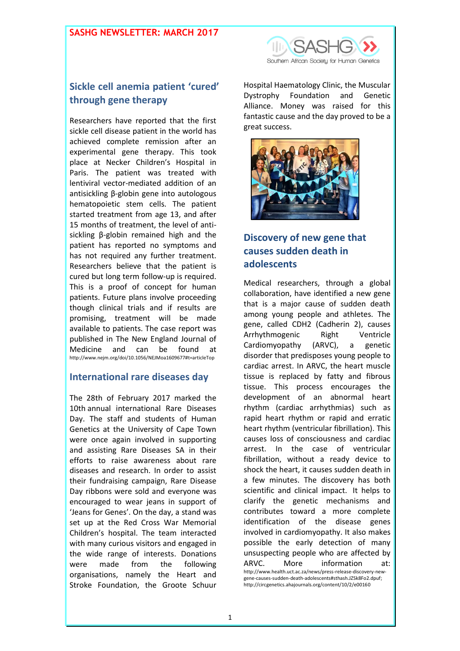### **SASHG NEWSLETTER: MARCH 2017**



# **Sickle cell anemia patient 'cured' through gene therapy**

Researchers have reported that the first sickle cell disease patient in the world has achieved complete remission after an experimental gene therapy. This took place at Necker Children's Hospital in Paris. The patient was treated with lentiviral vector-mediated addition of an antisickling β-globin gene into autologous hematopoietic stem cells. The patient started treatment from age 13, and after 15 months of treatment, the level of antisickling β-globin remained high and the patient has reported no symptoms and has not required any further treatment. Researchers believe that the patient is cured but long term follow-up is required. This is a proof of concept for human patients. Future plans involve proceeding though clinical trials and if results are promising, treatment will be made available to patients. The case report was published in The New England Journal of Medicine and can be found at <http://www.nejm.org/doi/10.1056/NEJMoa1609677#t=articleTop>

### **International rare diseases day**

The 28th of February 2017 marked the 10th annual international Rare Diseases Day. The staff and students of Human Genetics at the University of Cape Town were once again involved in supporting and assisting Rare Diseases SA in their efforts to raise awareness about rare diseases and research. In order to assist their fundraising campaign, Rare Disease Day ribbons were sold and everyone was encouraged to wear jeans in support of 'Jeans for Genes'. On the day, a stand was set up at the Red Cross War Memorial Children's hospital. The team interacted with many curious visitors and engaged in the wide range of interests. Donations were made from the following organisations, namely the Heart and Stroke Foundation, the Groote Schuur

Hospital Haematology Clinic, the Muscular Dystrophy Foundation and Genetic Alliance. Money was raised for this fantastic cause and the day proved to be a great success.



# **Discovery of new gene that causes sudden death in adolescents**

Medical researchers, through a global collaboration, have identified a new gene that is a major cause of sudden death among young people and athletes. The gene, called CDH2 (Cadherin 2), causes Arrhythmogenic Right Ventricle Cardiomyopathy (ARVC), a genetic disorder that predisposes young people to cardiac arrest. In ARVC, the heart muscle tissue is replaced by fatty and fibrous tissue. This process encourages the development of an abnormal heart rhythm (cardiac arrhythmias) such as rapid heart rhythm or rapid and erratic heart rhythm (ventricular fibrillation). This causes loss of consciousness and cardiac arrest. In the case of ventricular fibrillation, without a ready device to shock the heart, it causes sudden death in a few minutes. The discovery has both scientific and clinical impact. It helps to clarify the genetic mechanisms and contributes toward a more complete identification of the disease genes involved in cardiomyopathy. It also makes possible the early detection of many unsuspecting people who are affected by ARVC. More information at: [http://www.health.uct.ac.za/news/press-release-discovery-new](http://www.health.uct.ac.za/news/press-release-discovery-new-gene-causes-sudden-death-adolescents#sthash.JZSk8Fo2.dpuf)[gene-causes-sudden-death-adolescents#sthash.JZSk8Fo2.dpuf;](http://www.health.uct.ac.za/news/press-release-discovery-new-gene-causes-sudden-death-adolescents#sthash.JZSk8Fo2.dpuf)  <http://circgenetics.ahajournals.org/content/10/2/e00160>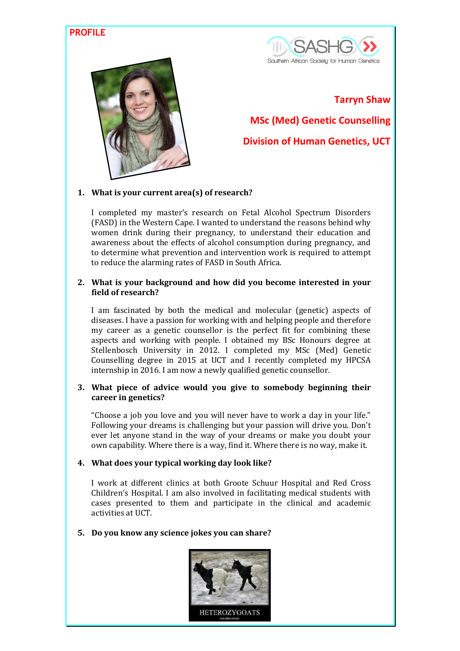### **PROFILE**





#### **Tarryn Shaw**

**MSc (Med) Genetic Counselling**

**Division of Human Genetics, UCT**

#### **1. What is your current area(s) of research?**

I completed my master's research on Fetal Alcohol Spectrum Disorders (FASD) in the Western Cape. I wanted to understand the reasons behind why women drink during their pregnancy, to understand their education and awareness about the effects of alcohol consumption during pregnancy, and to determine what prevention and intervention work is required to attempt to reduce the alarming rates of FASD in South Africa.

#### **2. What is your background and how did you become interested in your field of research?**

I am fascinated by both the medical and molecular (genetic) aspects of diseases. I have a passion for working with and helping people and therefore my career as a genetic counsellor is the perfect fit for combining these aspects and working with people. I obtained my BSc Honours degree at Stellenbosch University in 2012. I completed my MSc (Med) Genetic Counselling degree in 2015 at UCT and I recently completed my HPCSA internship in 2016. I am now a newly qualified genetic counsellor.

#### **3. What piece of advice would you give to somebody beginning their career in genetics?**

"Choose a job you love and you will never have to work a day in your life." Following your dreams is challenging but your passion will drive you. Don't ever let anyone stand in the way of your dreams or make you doubt your own capability. Where there is a way, find it. Where there is no way, make it.

#### **4. What does your typical working day look like?**

I work at different clinics at both Groote Schuur Hospital and Red Cross Children's Hospital. I am also involved in facilitating medical students with cases presented to them and participate in the clinical and academic activities at UCT.

#### **5. Do you know any science jokes you can share?**